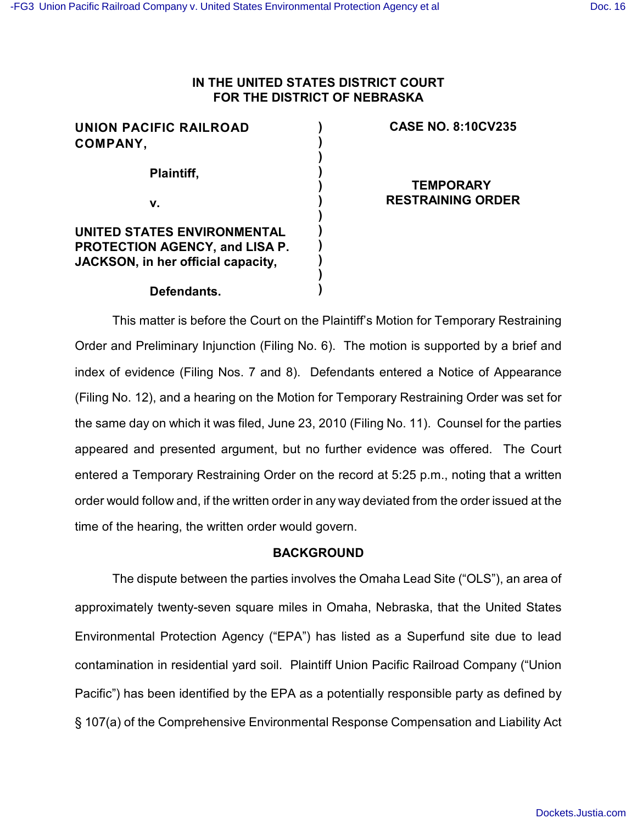# **IN THE UNITED STATES DISTRICT COURT FOR THE DISTRICT OF NEBRASKA**

| <b>UNION PACIFIC RAILROAD</b>      |  |
|------------------------------------|--|
| <b>COMPANY,</b>                    |  |
| Plaintiff,                         |  |
|                                    |  |
| v.                                 |  |
|                                    |  |
| UNITED STATES ENVIRONMENTAL        |  |
| PROTECTION AGENCY, and LISA P.     |  |
| JACKSON, in her official capacity, |  |
|                                    |  |
| Defendants.                        |  |

## **CASE NO. 8:10CV235**

**TEMPORARY RESTRAINING ORDER**

This matter is before the Court on the Plaintiff's Motion for Temporary Restraining Order and Preliminary Injunction (Filing No. 6). The motion is supported by a brief and index of evidence (Filing Nos. 7 and 8). Defendants entered a Notice of Appearance (Filing No. 12), and a hearing on the Motion for Temporary Restraining Order was set for the same day on which it was filed, June 23, 2010 (Filing No. 11). Counsel for the parties appeared and presented argument, but no further evidence was offered. The Court entered a Temporary Restraining Order on the record at 5:25 p.m., noting that a written order would follow and, if the written order in any way deviated from the order issued at the time of the hearing, the written order would govern.

### **BACKGROUND**

The dispute between the parties involves the Omaha Lead Site ("OLS"), an area of approximately twenty-seven square miles in Omaha, Nebraska, that the United States Environmental Protection Agency ("EPA") has listed as a Superfund site due to lead contamination in residential yard soil. Plaintiff Union Pacific Railroad Company ("Union Pacific") has been identified by the EPA as a potentially responsible party as defined by § 107(a) of the Comprehensive Environmental Response Compensation and Liability Act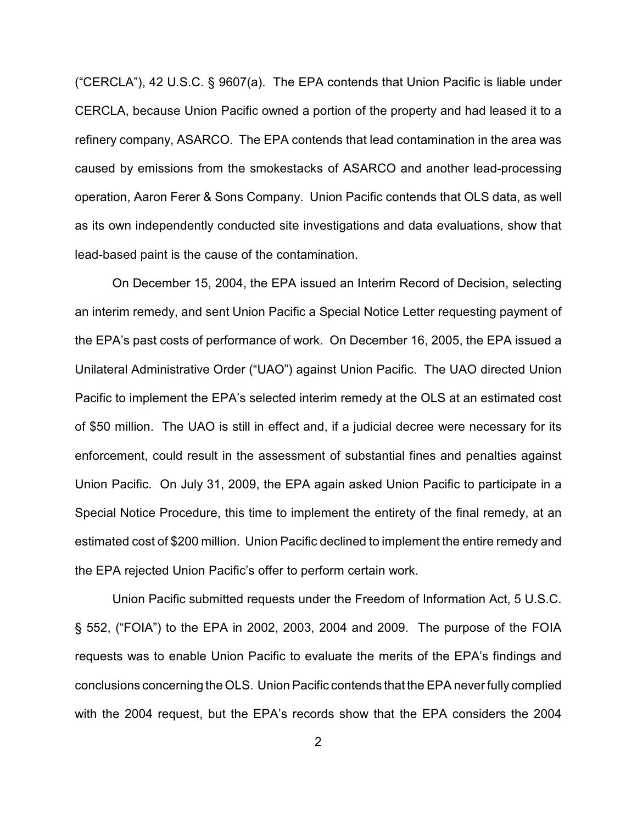("CERCLA"), 42 U.S.C. § 9607(a). The EPA contends that Union Pacific is liable under CERCLA, because Union Pacific owned a portion of the property and had leased it to a refinery company, ASARCO. The EPA contends that lead contamination in the area was caused by emissions from the smokestacks of ASARCO and another lead-processing operation, Aaron Ferer & Sons Company. Union Pacific contends that OLS data, as well as its own independently conducted site investigations and data evaluations, show that lead-based paint is the cause of the contamination.

On December 15, 2004, the EPA issued an Interim Record of Decision, selecting an interim remedy, and sent Union Pacific a Special Notice Letter requesting payment of the EPA's past costs of performance of work. On December 16, 2005, the EPA issued a Unilateral Administrative Order ("UAO") against Union Pacific. The UAO directed Union Pacific to implement the EPA's selected interim remedy at the OLS at an estimated cost of \$50 million. The UAO is still in effect and, if a judicial decree were necessary for its enforcement, could result in the assessment of substantial fines and penalties against Union Pacific. On July 31, 2009, the EPA again asked Union Pacific to participate in a Special Notice Procedure, this time to implement the entirety of the final remedy, at an estimated cost of \$200 million. Union Pacific declined to implement the entire remedy and the EPA rejected Union Pacific's offer to perform certain work.

Union Pacific submitted requests under the Freedom of Information Act, 5 U.S.C. § 552, ("FOIA") to the EPA in 2002, 2003, 2004 and 2009. The purpose of the FOIA requests was to enable Union Pacific to evaluate the merits of the EPA's findings and conclusions concerning the OLS. Union Pacific contends that the EPA never fully complied with the 2004 request, but the EPA's records show that the EPA considers the 2004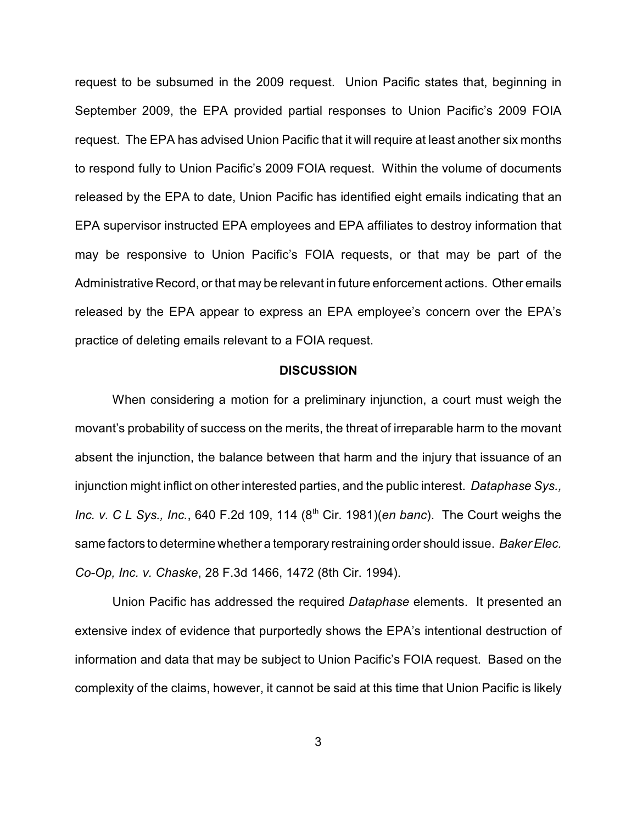request to be subsumed in the 2009 request. Union Pacific states that, beginning in September 2009, the EPA provided partial responses to Union Pacific's 2009 FOIA request. The EPA has advised Union Pacific that it will require at least another six months to respond fully to Union Pacific's 2009 FOIA request. Within the volume of documents released by the EPA to date, Union Pacific has identified eight emails indicating that an EPA supervisor instructed EPA employees and EPA affiliates to destroy information that may be responsive to Union Pacific's FOIA requests, or that may be part of the Administrative Record, or that may be relevant in future enforcement actions. Other emails released by the EPA appear to express an EPA employee's concern over the EPA's practice of deleting emails relevant to a FOIA request.

#### **DISCUSSION**

When considering a motion for a preliminary injunction, a court must weigh the movant's probability of success on the merits, the threat of irreparable harm to the movant absent the injunction, the balance between that harm and the injury that issuance of an injunction might inflict on other interested parties, and the public interest. *Dataphase Sys., Inc. v. C L Sys., Inc.*, 640 F.2d 109, 114 (8<sup>th</sup> Cir. 1981)(*en banc*). The Court weighs the same factors to determine whether a temporary restraining order should issue. *Baker Elec. Co-Op, Inc. v. Chaske*, 28 F.3d 1466, 1472 (8th Cir. 1994).

Union Pacific has addressed the required *Dataphase* elements. It presented an extensive index of evidence that purportedly shows the EPA's intentional destruction of information and data that may be subject to Union Pacific's FOIA request. Based on the complexity of the claims, however, it cannot be said at this time that Union Pacific is likely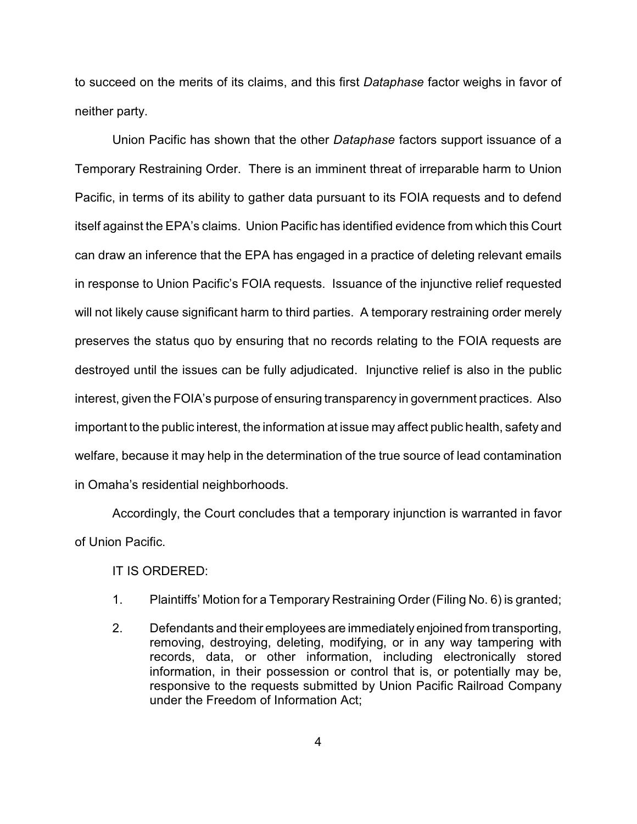to succeed on the merits of its claims, and this first *Dataphase* factor weighs in favor of neither party.

Union Pacific has shown that the other *Dataphase* factors support issuance of a Temporary Restraining Order. There is an imminent threat of irreparable harm to Union Pacific, in terms of its ability to gather data pursuant to its FOIA requests and to defend itself against the EPA's claims. Union Pacific has identified evidence from which this Court can draw an inference that the EPA has engaged in a practice of deleting relevant emails in response to Union Pacific's FOIA requests. Issuance of the injunctive relief requested will not likely cause significant harm to third parties. A temporary restraining order merely preserves the status quo by ensuring that no records relating to the FOIA requests are destroyed until the issues can be fully adjudicated. Injunctive relief is also in the public interest, given the FOIA's purpose of ensuring transparency in government practices. Also important to the public interest, the information at issue may affect public health, safety and welfare, because it may help in the determination of the true source of lead contamination in Omaha's residential neighborhoods.

Accordingly, the Court concludes that a temporary injunction is warranted in favor of Union Pacific.

IT IS ORDERED:

- 1. Plaintiffs' Motion for a Temporary Restraining Order (Filing No. 6) is granted;
- 2. Defendants and their employees are immediately enjoined from transporting, removing, destroying, deleting, modifying, or in any way tampering with records, data, or other information, including electronically stored information, in their possession or control that is, or potentially may be, responsive to the requests submitted by Union Pacific Railroad Company under the Freedom of Information Act;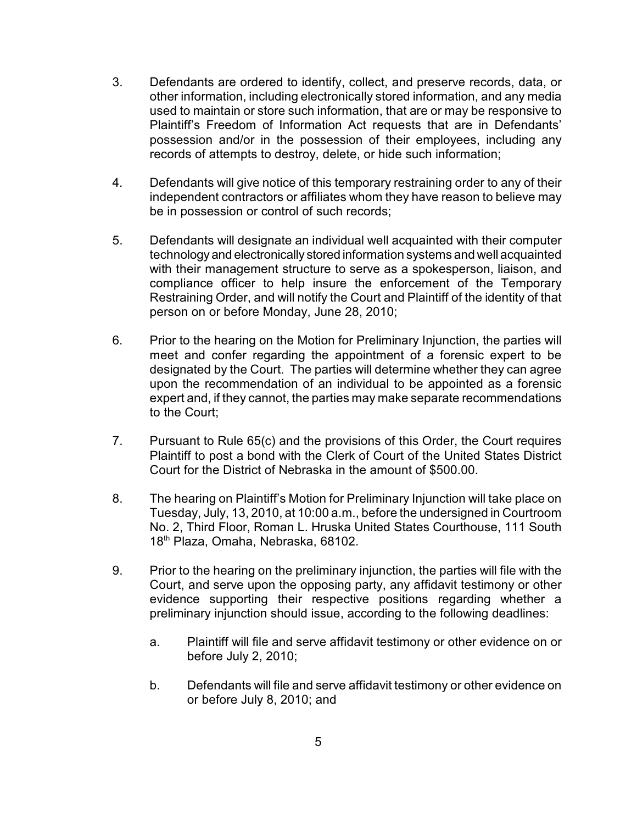- 3. Defendants are ordered to identify, collect, and preserve records, data, or other information, including electronically stored information, and any media used to maintain or store such information, that are or may be responsive to Plaintiff's Freedom of Information Act requests that are in Defendants' possession and/or in the possession of their employees, including any records of attempts to destroy, delete, or hide such information;
- 4. Defendants will give notice of this temporary restraining order to any of their independent contractors or affiliates whom they have reason to believe may be in possession or control of such records;
- 5. Defendants will designate an individual well acquainted with their computer technology and electronically stored information systems and well acquainted with their management structure to serve as a spokesperson, liaison, and compliance officer to help insure the enforcement of the Temporary Restraining Order, and will notify the Court and Plaintiff of the identity of that person on or before Monday, June 28, 2010;
- 6. Prior to the hearing on the Motion for Preliminary Injunction, the parties will meet and confer regarding the appointment of a forensic expert to be designated by the Court. The parties will determine whether they can agree upon the recommendation of an individual to be appointed as a forensic expert and, if they cannot, the parties may make separate recommendations to the Court;
- 7. Pursuant to Rule 65(c) and the provisions of this Order, the Court requires Plaintiff to post a bond with the Clerk of Court of the United States District Court for the District of Nebraska in the amount of \$500.00.
- 8. The hearing on Plaintiff's Motion for Preliminary Injunction will take place on Tuesday, July, 13, 2010, at 10:00 a.m., before the undersigned in Courtroom No. 2, Third Floor, Roman L. Hruska United States Courthouse, 111 South 18<sup>th</sup> Plaza, Omaha, Nebraska, 68102.
- 9. Prior to the hearing on the preliminary injunction, the parties will file with the Court, and serve upon the opposing party, any affidavit testimony or other evidence supporting their respective positions regarding whether a preliminary injunction should issue, according to the following deadlines:
	- a. Plaintiff will file and serve affidavit testimony or other evidence on or before July 2, 2010;
	- b. Defendants will file and serve affidavit testimony or other evidence on or before July 8, 2010; and